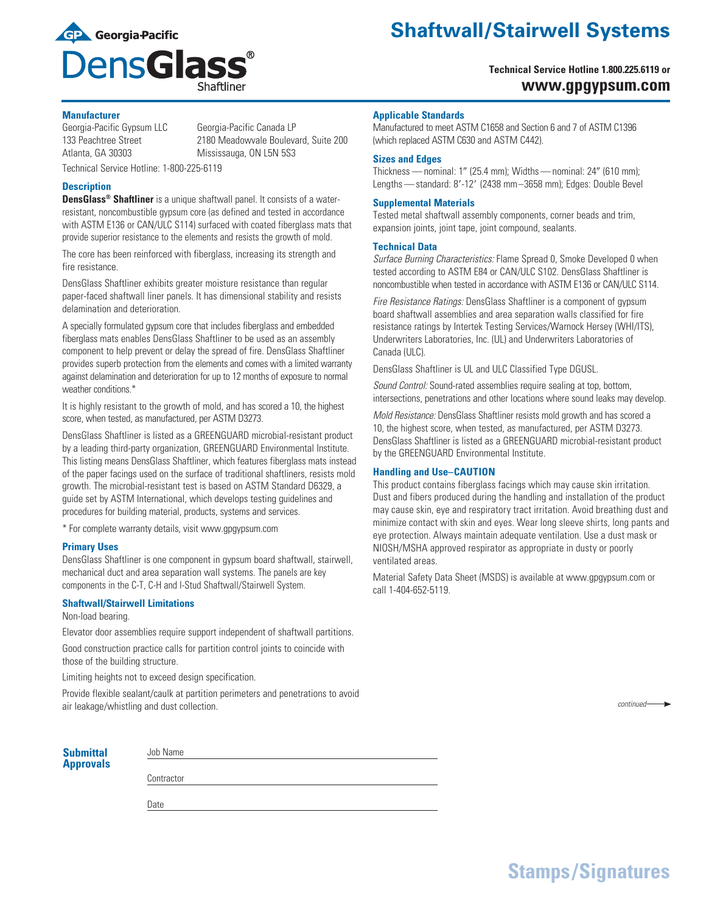

# **Shaftwall/Stairwell Systems**

# **Technical Service Hotline 1.800.225.6119 or www.gpgypsum.com**

# **Manufacturer**

Georgia-Pacific Gypsum LLC Georgia-Pacific Canada LP 133 Peachtree Street 2180 Meadowvale Boulevard, Suite 200 Atlanta, GA 30303 Mississauga, ON L5N 5S3

Technical Service Hotline: 1-800-225-6119

# **Description**

**DensGlass® Shaftliner** is a unique shaftwall panel. It consists of a waterresistant, noncombustible gypsum core (as defined and tested in accordance with ASTM E136 or CAN/ULC S114) surfaced with coated fiberglass mats that provide superior resistance to the elements and resists the growth of mold.

The core has been reinforced with fiberglass, increasing its strength and fire resistance.

DensGlass Shaftliner exhibits greater moisture resistance than regular paper-faced shaftwall liner panels. It has dimensional stability and resists delamination and deterioration.

A specially formulated gypsum core that includes fiberglass and embedded fiberglass mats enables DensGlass Shaftliner to be used as an assembly component to help prevent or delay the spread of fire. DensGlass Shaftliner provides superb protection from the elements and comes with a limited warranty against delamination and deterioration for up to 12 months of exposure to normal weather conditions.\*

It is highly resistant to the growth of mold, and has scored a 10, the highest score, when tested, as manufactured, per ASTM D3273.

DensGlass Shaftliner is listed as a GREENGUARD microbial-resistant product by a leading third-party organization, GREENGUARD Environmental Institute. This listing means DensGlass Shaftliner, which features fiberglass mats instead of the paper facings used on the surface of traditional shaftliners, resists mold growth. The microbial-resistant test is based on ASTM Standard D6329, a guide set by ASTM International, which develops testing guidelines and procedures for building material, products, systems and services.

\* For complete warranty details, visit www.gpgypsum.com

#### **Primary Uses**

DensGlass Shaftliner is one component in gypsum board shaftwall, stairwell, mechanical duct and area separation wall systems. The panels are key components in the C-T, C-H and I-Stud Shaftwall/Stairwell System.

### **Shaftwall/Stairwell Limitations**

Non-load bearing.

Elevator door assemblies require support independent of shaftwall partitions. Good construction practice calls for partition control joints to coincide with

those of the building structure. Limiting heights not to exceed design specification.

Provide flexible sealant/caulk at partition perimeters and penetrations to avoid air leakage/whistling and dust collection.

# **Applicable Standards**

Manufactured to meet ASTM C1658 and Section 6 and 7 of ASTM C1396 (which replaced ASTM C630 and ASTM C442).

#### **Sizes and Edges**

Thickness — nominal:  $1''$  (25.4 mm); Widths — nominal: 24" (610 mm); Lengths - standard: 8'-12' (2438 mm-3658 mm); Edges: Double Bevel

#### **Supplemental Materials**

Tested metal shaftwall assembly components, corner beads and trim, expansion joints, joint tape, joint compound, sealants.

### **Technical Data**

*Surface Burning Characteristics:* Flame Spread 0, Smoke Developed 0 when tested according to ASTM E84 or CAN/ULC S102. DensGlass Shaftliner is noncombustible when tested in accordance with ASTM E136 or CAN/ULC S114.

*Fire Resistance Ratings:* DensGlass Shaftliner is a component of gypsum board shaftwall assemblies and area separation walls classified for fire resistance ratings by Intertek Testing Services/Warnock Hersey (WHI/ITS), Underwriters Laboratories, Inc. (UL) and Underwriters Laboratories of Canada (ULC).

DensGlass Shaftliner is UL and ULC Classified Type DGUSL.

*Sound Control:* Sound-rated assemblies require sealing at top, bottom, intersections, penetrations and other locations where sound leaks may develop.

*Mold Resistance:* DensGlass Shaftliner resists mold growth and has scored a 10, the highest score, when tested, as manufactured, per ASTM D3273. DensGlass Shaftliner is listed as a GREENGUARD microbial-resistant product by the GREENGUARD Environmental Institute.

#### **Handling and Use–CAUTION**

This product contains fiberglass facings which may cause skin irritation. Dust and fibers produced during the handling and installation of the product may cause skin, eye and respiratory tract irritation. Avoid breathing dust and minimize contact with skin and eyes. Wear long sleeve shirts, long pants and eye protection. Always maintain adequate ventilation. Use a dust mask or NIOSH/MSHA approved respirator as appropriate in dusty or poorly ventilated areas.

Material Safety Data Sheet (MSDS) is available at www.gpgypsum.com or call 1-404-652-5119.

**Submittal Approvals**

**Contractor** 

Job Name

Date

**Stamps/Signatures**

*continued*